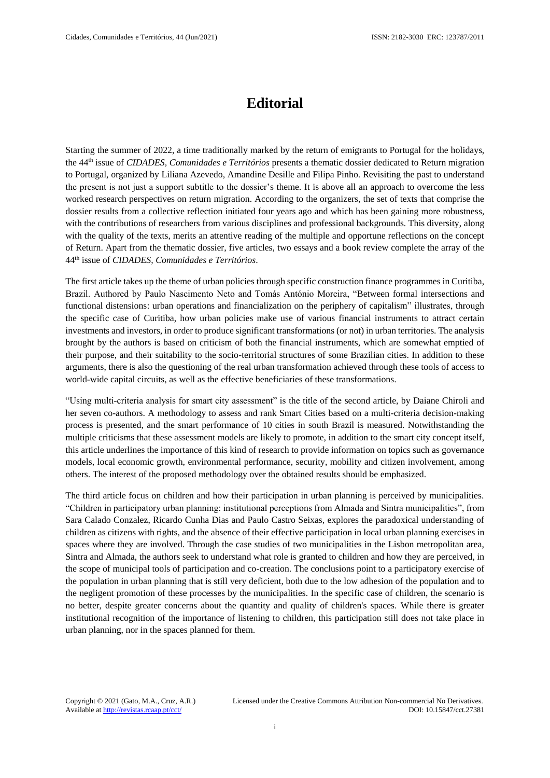## **Editorial**

Starting the summer of 2022, a time traditionally marked by the return of emigrants to Portugal for the holidays, the 44th issue of *CIDADES, Comunidades e Territórios* presents a thematic dossier dedicated to Return migration to Portugal, organized by Liliana Azevedo, Amandine Desille and Filipa Pinho. Revisiting the past to understand the present is not just a support subtitle to the dossier's theme. It is above all an approach to overcome the less worked research perspectives on return migration. According to the organizers, the set of texts that comprise the dossier results from a collective reflection initiated four years ago and which has been gaining more robustness, with the contributions of researchers from various disciplines and professional backgrounds. This diversity, along with the quality of the texts, merits an attentive reading of the multiple and opportune reflections on the concept of Return. Apart from the thematic dossier, five articles, two essays and a book review complete the array of the 44th issue of *CIDADES, Comunidades e Territórios*.

The first article takes up the theme of urban policies through specific construction finance programmes in Curitiba, Brazil. Authored by Paulo Nascimento Neto and Tomás António Moreira, "Between formal intersections and functional distensions: urban operations and financialization on the periphery of capitalism" illustrates, through the specific case of Curitiba, how urban policies make use of various financial instruments to attract certain investments and investors, in order to produce significant transformations (or not) in urban territories. The analysis brought by the authors is based on criticism of both the financial instruments, which are somewhat emptied of their purpose, and their suitability to the socio-territorial structures of some Brazilian cities. In addition to these arguments, there is also the questioning of the real urban transformation achieved through these tools of access to world-wide capital circuits, as well as the effective beneficiaries of these transformations.

"Using multi-criteria analysis for smart city assessment" is the title of the second article, by Daiane Chiroli and her seven co-authors. A methodology to assess and rank Smart Cities based on a multi-criteria decision-making process is presented, and the smart performance of 10 cities in south Brazil is measured. Notwithstanding the multiple criticisms that these assessment models are likely to promote, in addition to the smart city concept itself, this article underlines the importance of this kind of research to provide information on topics such as governance models, local economic growth, environmental performance, security, mobility and citizen involvement, among others. The interest of the proposed methodology over the obtained results should be emphasized.

The third article focus on children and how their participation in urban planning is perceived by municipalities. "Children in participatory urban planning: institutional perceptions from Almada and Sintra municipalities", from Sara Calado Conzalez, Ricardo Cunha Dias and Paulo Castro Seixas, explores the paradoxical understanding of children as citizens with rights, and the absence of their effective participation in local urban planning exercises in spaces where they are involved. Through the case studies of two municipalities in the Lisbon metropolitan area, Sintra and Almada, the authors seek to understand what role is granted to children and how they are perceived, in the scope of municipal tools of participation and co-creation. The conclusions point to a participatory exercise of the population in urban planning that is still very deficient, both due to the low adhesion of the population and to the negligent promotion of these processes by the municipalities. In the specific case of children, the scenario is no better, despite greater concerns about the quantity and quality of children's spaces. While there is greater institutional recognition of the importance of listening to children, this participation still does not take place in urban planning, nor in the spaces planned for them.